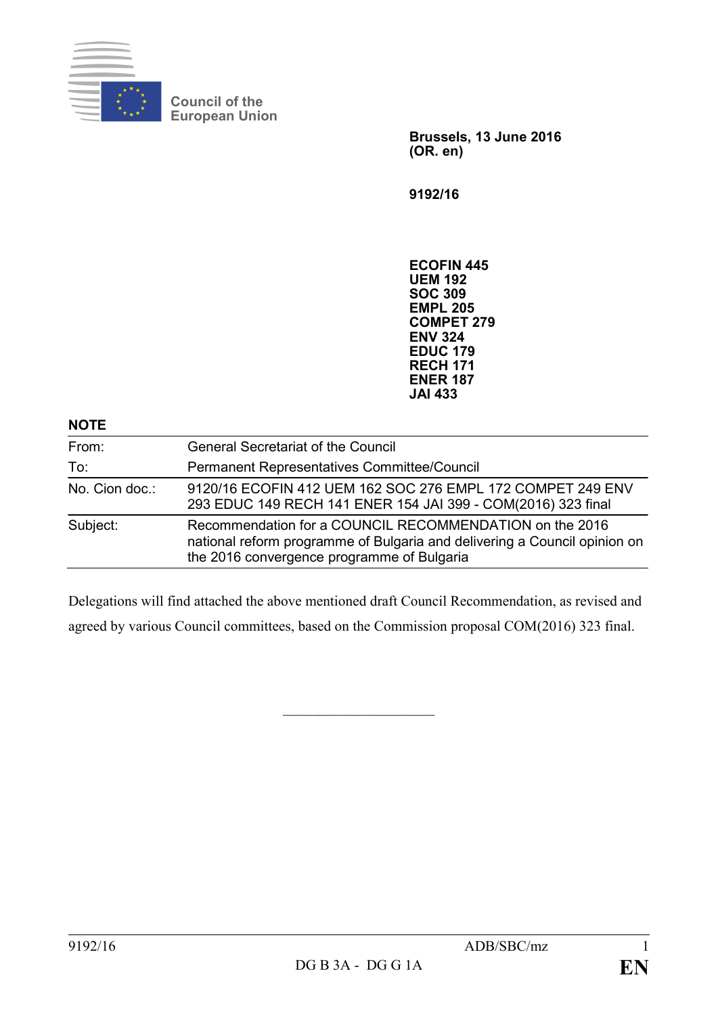

**Council of the European Union**

> **Brussels, 13 June 2016 (OR. en)**

**9192/16**

**ECOFIN 445 UEM 192 SOC 309 EMPL 205 COMPET 279 ENV 324 EDUC 179 RECH 171 ENER 187 JAI 433**

| <b>NOTE</b>    |                                                                                                                                                                                    |
|----------------|------------------------------------------------------------------------------------------------------------------------------------------------------------------------------------|
| From:          | <b>General Secretariat of the Council</b>                                                                                                                                          |
| To:            | Permanent Representatives Committee/Council                                                                                                                                        |
| No. Cion doc.: | 9120/16 ECOFIN 412 UEM 162 SOC 276 EMPL 172 COMPET 249 ENV<br>293 EDUC 149 RECH 141 ENER 154 JAI 399 - COM(2016) 323 final                                                         |
| Subject:       | Recommendation for a COUNCIL RECOMMENDATION on the 2016<br>national reform programme of Bulgaria and delivering a Council opinion on<br>the 2016 convergence programme of Bulgaria |

Delegations will find attached the above mentioned draft Council Recommendation, as revised and agreed by various Council committees, based on the Commission proposal COM(2016) 323 final.

 $\overline{\phantom{a}}$  , and the set of the set of the set of the set of the set of the set of the set of the set of the set of the set of the set of the set of the set of the set of the set of the set of the set of the set of the s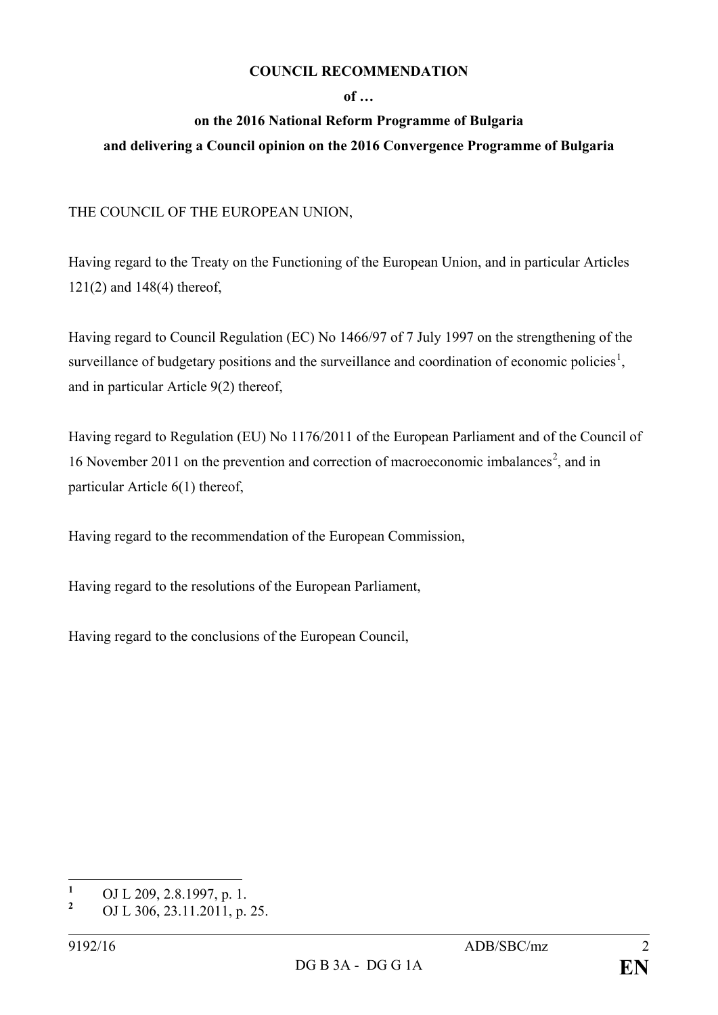### **COUNCIL RECOMMENDATION**

### **of …**

# **on the 2016 National Reform Programme of Bulgaria**

## **and delivering a Council opinion on the 2016 Convergence Programme of Bulgaria**

THE COUNCIL OF THE EUROPEAN UNION,

Having regard to the Treaty on the Functioning of the European Union, and in particular Articles 121(2) and 148(4) thereof,

Having regard to Council Regulation (EC) No 1466/97 of 7 July 1997 on the strengthening of the surveillance of budgetary positions and the surveillance and coordination of economic policies<sup>[1](#page-1-0)</sup>, and in particular Article 9(2) thereof,

Having regard to Regulation (EU) No 1176/2011 of the European Parliament and of the Council of 16 November [2](#page-1-1)011 on the prevention and correction of macroeconomic imbalances<sup>2</sup>, and in particular Article 6(1) thereof,

Having regard to the recommendation of the European Commission,

Having regard to the resolutions of the European Parliament,

Having regard to the conclusions of the European Council,

<span id="page-1-0"></span>**<sup>1</sup>** OJ L 209, 2.8.1997, p. 1.

<span id="page-1-1"></span>**<sup>2</sup>** OJ L 306, 23.11.2011, p. 25.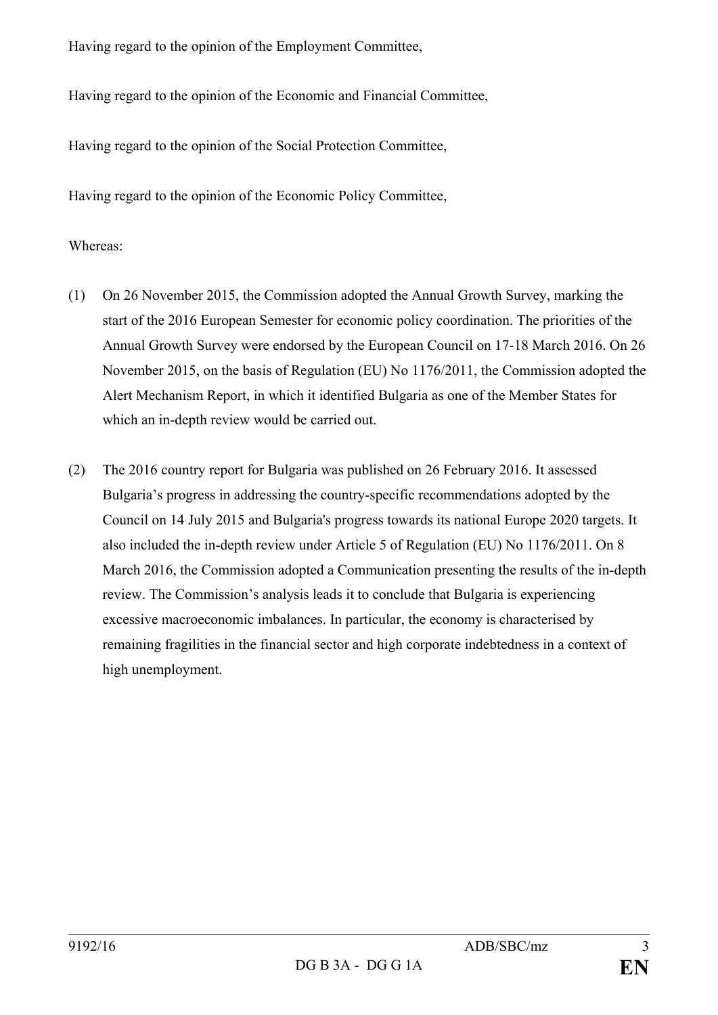Having regard to the opinion of the Employment Committee,

Having regard to the opinion of the Economic and Financial Committee,

Having regard to the opinion of the Social Protection Committee,

Having regard to the opinion of the Economic Policy Committee,

## Whereas:

- (1) On 26 November 2015, the Commission adopted the Annual Growth Survey, marking the start of the 2016 European Semester for economic policy coordination. The priorities of the Annual Growth Survey were endorsed by the European Council on 17-18 March 2016. On 26 November 2015, on the basis of Regulation (EU) No 1176/2011, the Commission adopted the Alert Mechanism Report, in which it identified Bulgaria as one of the Member States for which an in-depth review would be carried out.
- (2) The 2016 country report for Bulgaria was published on 26 February 2016. It assessed Bulgaria's progress in addressing the country-specific recommendations adopted by the Council on 14 July 2015 and Bulgaria's progress towards its national Europe 2020 targets. It also included the in-depth review under Article 5 of Regulation (EU) No 1176/2011. On 8 March 2016, the Commission adopted a Communication presenting the results of the in-depth review. The Commission's analysis leads it to conclude that Bulgaria is experiencing excessive macroeconomic imbalances. In particular, the economy is characterised by remaining fragilities in the financial sector and high corporate indebtedness in a context of high unemployment.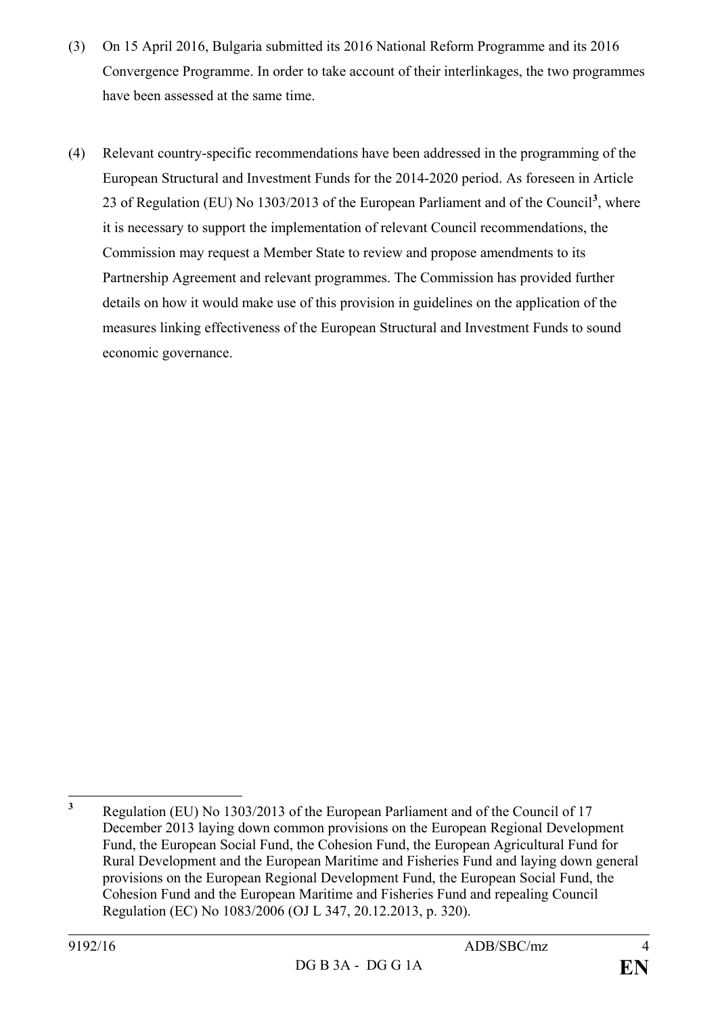- (3) On 15 April 2016, Bulgaria submitted its 2016 National Reform Programme and its 2016 Convergence Programme. In order to take account of their interlinkages, the two programmes have been assessed at the same time.
- (4) Relevant country-specific recommendations have been addressed in the programming of the European Structural and Investment Funds for the 2014-2020 period. As foreseen in Article 23 of Regulation (EU) No 1303/2013 of the European Parliament and of the Council**[3](#page-3-0)** , where it is necessary to support the implementation of relevant Council recommendations, the Commission may request a Member State to review and propose amendments to its Partnership Agreement and relevant programmes. The Commission has provided further details on how it would make use of this provision in guidelines on the application of the measures linking effectiveness of the European Structural and Investment Funds to sound economic governance.

<span id="page-3-0"></span>**<sup>3</sup>** Regulation (EU) No 1303/2013 of the European Parliament and of the Council of 17 December 2013 laying down common provisions on the European Regional Development Fund, the European Social Fund, the Cohesion Fund, the European Agricultural Fund for Rural Development and the European Maritime and Fisheries Fund and laying down general provisions on the European Regional Development Fund, the European Social Fund, the Cohesion Fund and the European Maritime and Fisheries Fund and repealing Council Regulation (EC) No 1083/2006 (OJ L 347, 20.12.2013, p. 320).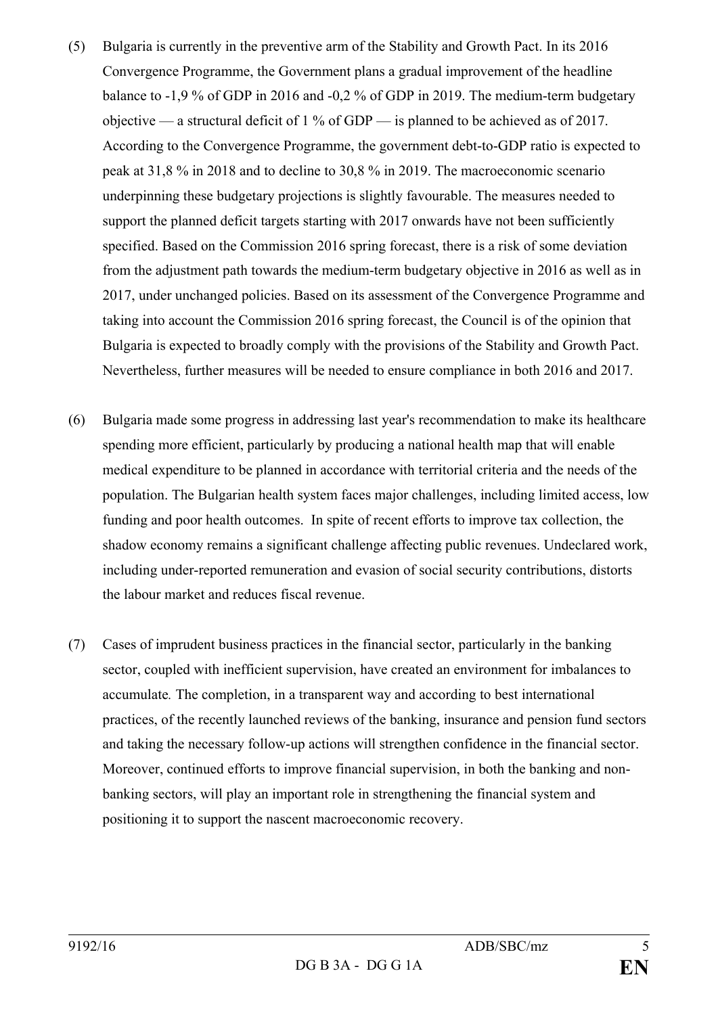- (5) Bulgaria is currently in the preventive arm of the Stability and Growth Pact. In its 2016 Convergence Programme, the Government plans a gradual improvement of the headline balance to -1,9 % of GDP in 2016 and -0,2 % of GDP in 2019. The medium-term budgetary objective — a structural deficit of  $1\%$  of GDP — is planned to be achieved as of 2017. According to the Convergence Programme, the government debt-to-GDP ratio is expected to peak at 31,8 % in 2018 and to decline to 30,8 % in 2019. The macroeconomic scenario underpinning these budgetary projections is slightly favourable. The measures needed to support the planned deficit targets starting with 2017 onwards have not been sufficiently specified. Based on the Commission 2016 spring forecast, there is a risk of some deviation from the adjustment path towards the medium-term budgetary objective in 2016 as well as in 2017, under unchanged policies. Based on its assessment of the Convergence Programme and taking into account the Commission 2016 spring forecast, the Council is of the opinion that Bulgaria is expected to broadly comply with the provisions of the Stability and Growth Pact. Nevertheless, further measures will be needed to ensure compliance in both 2016 and 2017.
- (6) Bulgaria made some progress in addressing last year's recommendation to make its healthcare spending more efficient, particularly by producing a national health map that will enable medical expenditure to be planned in accordance with territorial criteria and the needs of the population. The Bulgarian health system faces major challenges, including limited access, low funding and poor health outcomes. In spite of recent efforts to improve tax collection, the shadow economy remains a significant challenge affecting public revenues. Undeclared work, including under-reported remuneration and evasion of social security contributions, distorts the labour market and reduces fiscal revenue.
- (7) Cases of imprudent business practices in the financial sector, particularly in the banking sector, coupled with inefficient supervision, have created an environment for imbalances to accumulate*.* The completion, in a transparent way and according to best international practices, of the recently launched reviews of the banking, insurance and pension fund sectors and taking the necessary follow-up actions will strengthen confidence in the financial sector. Moreover, continued efforts to improve financial supervision, in both the banking and nonbanking sectors, will play an important role in strengthening the financial system and positioning it to support the nascent macroeconomic recovery.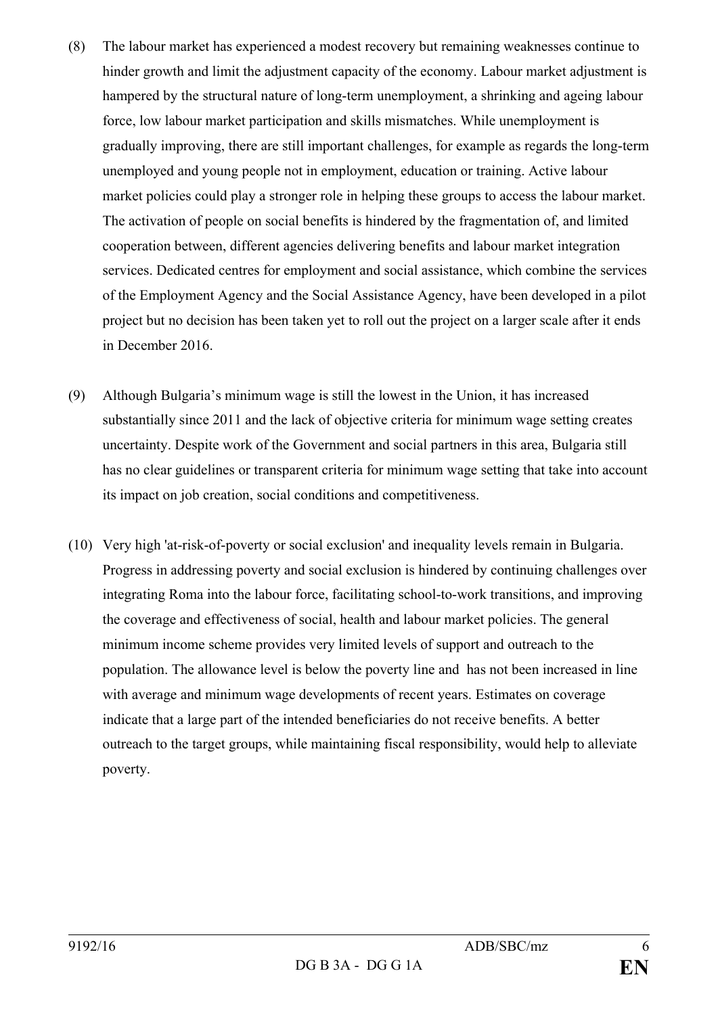- (8) The labour market has experienced a modest recovery but remaining weaknesses continue to hinder growth and limit the adjustment capacity of the economy. Labour market adjustment is hampered by the structural nature of long-term unemployment, a shrinking and ageing labour force, low labour market participation and skills mismatches. While unemployment is gradually improving, there are still important challenges, for example as regards the long-term unemployed and young people not in employment, education or training. Active labour market policies could play a stronger role in helping these groups to access the labour market. The activation of people on social benefits is hindered by the fragmentation of, and limited cooperation between, different agencies delivering benefits and labour market integration services. Dedicated centres for employment and social assistance, which combine the services of the Employment Agency and the Social Assistance Agency, have been developed in a pilot project but no decision has been taken yet to roll out the project on a larger scale after it ends in December 2016.
- (9) Although Bulgaria's minimum wage is still the lowest in the Union, it has increased substantially since 2011 and the lack of objective criteria for minimum wage setting creates uncertainty. Despite work of the Government and social partners in this area, Bulgaria still has no clear guidelines or transparent criteria for minimum wage setting that take into account its impact on job creation, social conditions and competitiveness.
- (10) Very high 'at-risk-of-poverty or social exclusion' and inequality levels remain in Bulgaria. Progress in addressing poverty and social exclusion is hindered by continuing challenges over integrating Roma into the labour force, facilitating school-to-work transitions, and improving the coverage and effectiveness of social, health and labour market policies. The general minimum income scheme provides very limited levels of support and outreach to the population. The allowance level is below the poverty line and has not been increased in line with average and minimum wage developments of recent years. Estimates on coverage indicate that a large part of the intended beneficiaries do not receive benefits. A better outreach to the target groups, while maintaining fiscal responsibility, would help to alleviate poverty.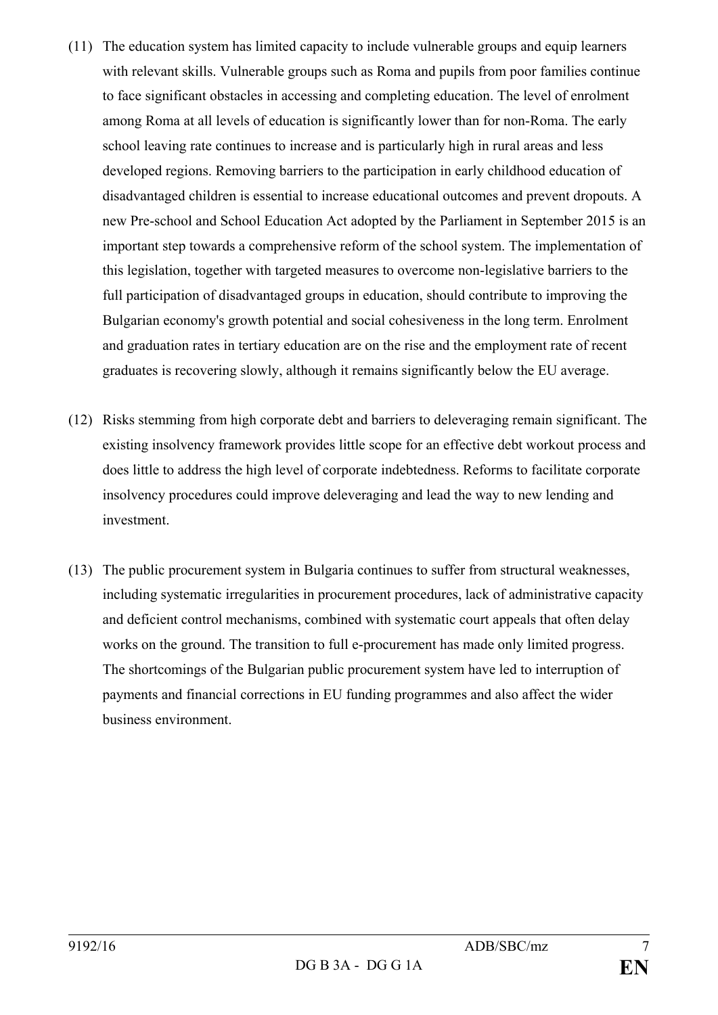- (11) The education system has limited capacity to include vulnerable groups and equip learners with relevant skills. Vulnerable groups such as Roma and pupils from poor families continue to face significant obstacles in accessing and completing education. The level of enrolment among Roma at all levels of education is significantly lower than for non-Roma. The early school leaving rate continues to increase and is particularly high in rural areas and less developed regions. Removing barriers to the participation in early childhood education of disadvantaged children is essential to increase educational outcomes and prevent dropouts. A new Pre-school and School Education Act adopted by the Parliament in September 2015 is an important step towards a comprehensive reform of the school system. The implementation of this legislation, together with targeted measures to overcome non-legislative barriers to the full participation of disadvantaged groups in education, should contribute to improving the Bulgarian economy's growth potential and social cohesiveness in the long term. Enrolment and graduation rates in tertiary education are on the rise and the employment rate of recent graduates is recovering slowly, although it remains significantly below the EU average.
- (12) Risks stemming from high corporate debt and barriers to deleveraging remain significant. The existing insolvency framework provides little scope for an effective debt workout process and does little to address the high level of corporate indebtedness. Reforms to facilitate corporate insolvency procedures could improve deleveraging and lead the way to new lending and investment.
- (13) The public procurement system in Bulgaria continues to suffer from structural weaknesses, including systematic irregularities in procurement procedures, lack of administrative capacity and deficient control mechanisms, combined with systematic court appeals that often delay works on the ground. The transition to full e-procurement has made only limited progress. The shortcomings of the Bulgarian public procurement system have led to interruption of payments and financial corrections in EU funding programmes and also affect the wider business environment.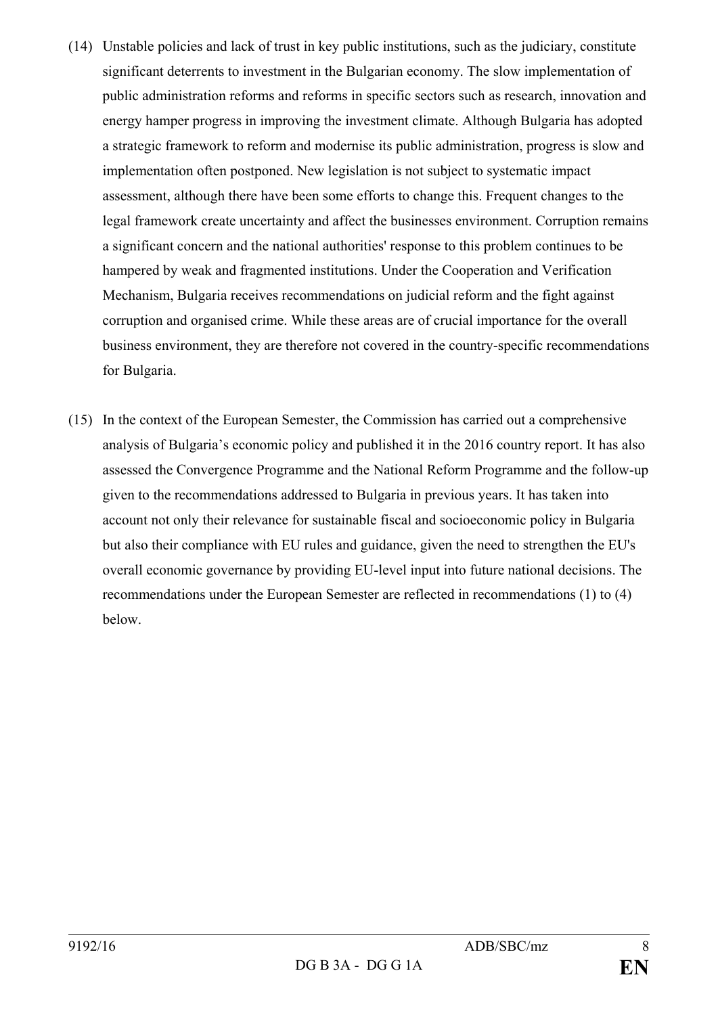- (14) Unstable policies and lack of trust in key public institutions, such as the judiciary, constitute significant deterrents to investment in the Bulgarian economy. The slow implementation of public administration reforms and reforms in specific sectors such as research, innovation and energy hamper progress in improving the investment climate. Although Bulgaria has adopted a strategic framework to reform and modernise its public administration, progress is slow and implementation often postponed. New legislation is not subject to systematic impact assessment, although there have been some efforts to change this. Frequent changes to the legal framework create uncertainty and affect the businesses environment. Corruption remains a significant concern and the national authorities' response to this problem continues to be hampered by weak and fragmented institutions. Under the Cooperation and Verification Mechanism, Bulgaria receives recommendations on judicial reform and the fight against corruption and organised crime. While these areas are of crucial importance for the overall business environment, they are therefore not covered in the country-specific recommendations for Bulgaria.
- (15) In the context of the European Semester, the Commission has carried out a comprehensive analysis of Bulgaria's economic policy and published it in the 2016 country report. It has also assessed the Convergence Programme and the National Reform Programme and the follow-up given to the recommendations addressed to Bulgaria in previous years. It has taken into account not only their relevance for sustainable fiscal and socioeconomic policy in Bulgaria but also their compliance with EU rules and guidance, given the need to strengthen the EU's overall economic governance by providing EU-level input into future national decisions. The recommendations under the European Semester are reflected in recommendations (1) to (4) below.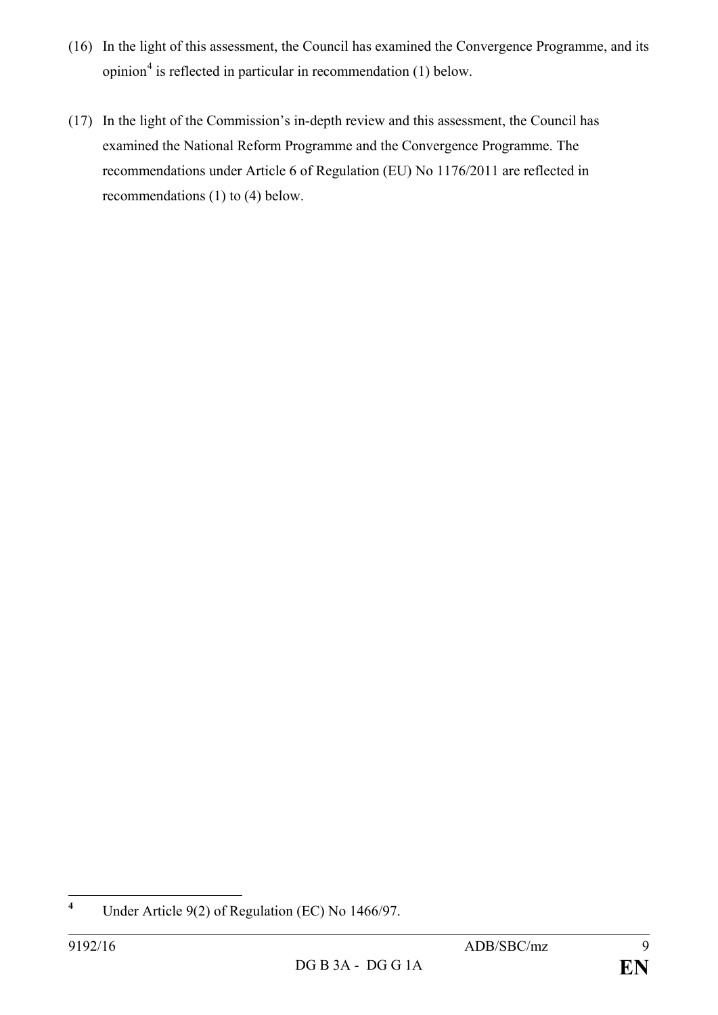- (16) In the light of this assessment, the Council has examined the Convergence Programme, and its opinion $4$  is reflected in particular in recommendation (1) below.
- (17) In the light of the Commission's in-depth review and this assessment, the Council has examined the National Reform Programme and the Convergence Programme. The recommendations under Article 6 of Regulation (EU) No 1176/2011 are reflected in recommendations (1) to (4) below.

<span id="page-8-0"></span>**<sup>4</sup>** Under Article 9(2) of Regulation (EC) No 1466/97.